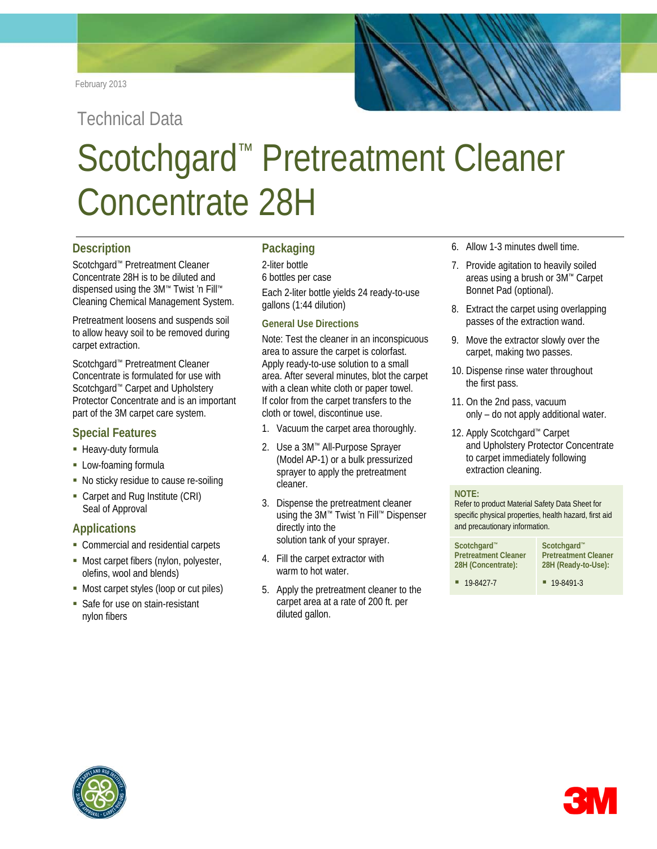Technical Data

# Scotchgard™ Pretreatment Cleaner Concentrate 28H

# **Description**

Scotchgard™ Pretreatment Cleaner Concentrate 28H is to be diluted and dispensed using the 3M™ Twist 'n Fill™ Cleaning Chemical Management System.

Pretreatment loosens and suspends soil to allow heavy soil to be removed during carpet extraction.

Scotchgard™ Pretreatment Cleaner Concentrate is formulated for use with Scotchgard™ Carpet and Upholstery Protector Concentrate and is an important part of the 3M carpet care system.

# **Special Features**

- **Heavy-duty formula**
- **Low-foaming formula**
- No sticky residue to cause re-soiling
- Carpet and Rug Institute (CRI) Seal of Approval

# **Applications**

- Commercial and residential carpets
- **Most carpet fibers (nylon, polyester,** olefins, wool and blends)
- Most carpet styles (loop or cut piles)
- **Safe for use on stain-resistant** nylon fibers

# **Packaging**

2-liter bottle

6 bottles per case

Each 2-liter bottle yields 24 ready-to-use gallons (1:44 dilution)

### **General Use Directions**

Note: Test the cleaner in an inconspicuous area to assure the carpet is colorfast. Apply ready-to-use solution to a small area. After several minutes, blot the carpet with a clean white cloth or paper towel. If color from the carpet transfers to the cloth or towel, discontinue use.

- 1. Vacuum the carpet area thoroughly.
- 2. Use a 3M™ All-Purpose Sprayer (Model AP-1) or a bulk pressurized sprayer to apply the pretreatment cleaner.
- 3. Dispense the pretreatment cleaner using the 3M™ Twist 'n Fill™ Dispenser directly into the solution tank of your sprayer.
- 4. Fill the carpet extractor with warm to hot water.
- 5. Apply the pretreatment cleaner to the carpet area at a rate of 200 ft. per diluted gallon.
- 6. Allow 1-3 minutes dwell time.
- 7. Provide agitation to heavily soiled areas using a brush or 3M™ Carpet Bonnet Pad (optional).
- 8. Extract the carpet using overlapping passes of the extraction wand.
- 9. Move the extractor slowly over the carpet, making two passes.
- 10. Dispense rinse water throughout the first pass.
- 11. On the 2nd pass, vacuum only – do not apply additional water.
- 12. Apply Scotchgard™ Carpet and Upholstery Protector Concentrate to carpet immediately following extraction cleaning.

#### **NOTE:**

Refer to product Material Safety Data Sheet for specific physical properties, health hazard, first aid and precautionary information.

| Scotchgard™                 | Scotchgard <sup>™</sup>     |
|-----------------------------|-----------------------------|
| <b>Pretreatment Cleaner</b> | <b>Pretreatment Cleaner</b> |
| 28H (Concentrate):          | 28H (Ready-to-Use):         |
| 19-8427-7                   | $19 - 8491 - 3$             |